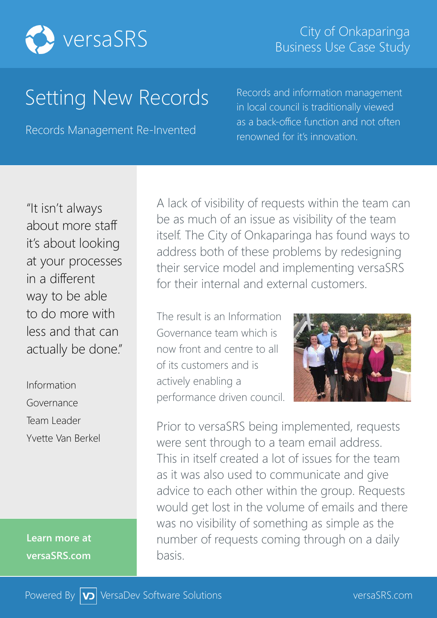

# Setting New Records

Records Management Re-Invented

Records and information management in local council is traditionally viewed as a back-office function and not often renowned for it's innovation.

"It isn't always about more staff it's about looking at your processes in a different way to be able to do more with less and that can actually be done."

Information Governance Team Leader Yvette Van Berkel

**Learn more at versaSRS.com**

A lack of visibility of requests within the team can be as much of an issue as visibility of the team itself. The City of Onkaparinga has found ways to address both of these problems by redesigning their service model and implementing versaSRS for their internal and external customers.

The result is an Information Governance team which is now front and centre to all of its customers and is actively enabling a performance driven council.



Prior to versaSRS being implemented, requests were sent through to a team email address. This in itself created a lot of issues for the team as it was also used to communicate and give advice to each other within the group. Requests would get lost in the volume of emails and there was no visibility of something as simple as the number of requests coming through on a daily basis.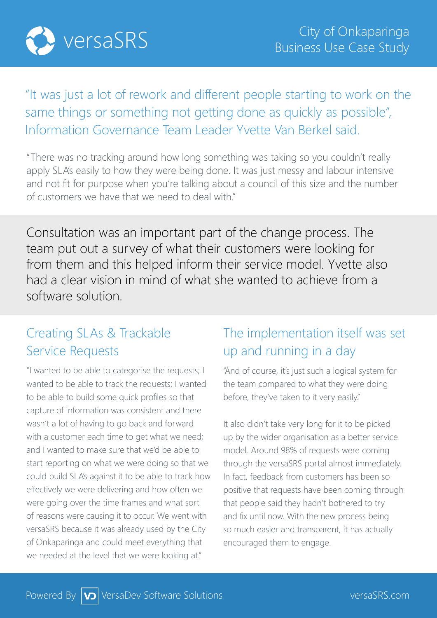

## "It was just a lot of rework and different people starting to work on the same things or something not getting done as quickly as possible", Information Governance Team Leader Yvette Van Berkel said.

"There was no tracking around how long something was taking so you couldn't really apply SLA's easily to how they were being done. It was just messy and labour intensive and not fit for purpose when you're talking about a council of this size and the number of customers we have that we need to deal with."

Consultation was an important part of the change process. The team put out a survey of what their customers were looking for from them and this helped inform their service model. Yvette also had a clear vision in mind of what she wanted to achieve from a software solution.

#### Creating SLAs & Trackable Service Requests

"I wanted to be able to categorise the requests; I wanted to be able to track the requests; I wanted to be able to build some quick profiles so that capture of information was consistent and there wasn't a lot of having to go back and forward with a customer each time to get what we need; and I wanted to make sure that we'd be able to start reporting on what we were doing so that we could build SLA's against it to be able to track how effectively we were delivering and how often we were going over the time frames and what sort of reasons were causing it to occur. We went with versaSRS because it was already used by the City of Onkaparinga and could meet everything that we needed at the level that we were looking at."

### The implementation itself was set up and running in a day

"And of course, it's just such a logical system for the team compared to what they were doing before, they've taken to it very easily."

It also didn't take very long for it to be picked up by the wider organisation as a better service model. Around 98% of requests were coming through the versaSRS portal almost immediately. In fact, feedback from customers has been so positive that requests have been coming through that people said they hadn't bothered to try and fix until now. With the new process being so much easier and transparent, it has actually encouraged them to engage.